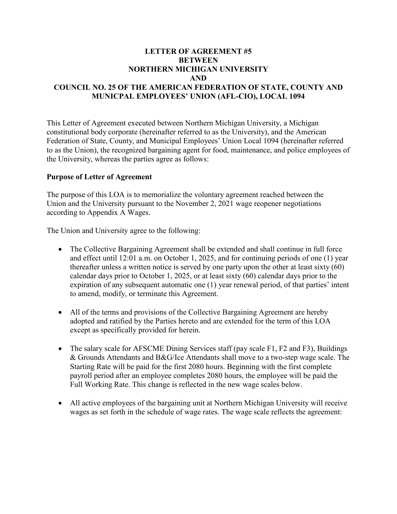### **LETTER OF AGREEMENT #5 BETWEEN NORTHERN MICHIGAN UNIVERSITY AND COUNCIL NO. 25 OF THE AMERICAN FEDERATION OF STATE, COUNTY AND MUNICPAL EMPLOYEES' UNION (AFL-CIO), LOCAL 1094**

This Letter of Agreement executed between Northern Michigan University, a Michigan constitutional body corporate (hereinafter referred to as the University), and the American Federation of State, County, and Municipal Employees' Union Local 1094 (hereinafter referred to as the Union), the recognized bargaining agent for food, maintenance, and police employees of the University, whereas the parties agree as follows:

### **Purpose of Letter of Agreement**

The purpose of this LOA is to memorialize the voluntary agreement reached between the Union and the University pursuant to the November 2, 2021 wage reopener negotiations according to Appendix A Wages.

The Union and University agree to the following:

- The Collective Bargaining Agreement shall be extended and shall continue in full force and effect until 12:01 a.m. on October 1, 2025, and for continuing periods of one (1) year thereafter unless a written notice is served by one party upon the other at least sixty (60) calendar days prior to October 1, 2025, or at least sixty (60) calendar days prior to the expiration of any subsequent automatic one (1) year renewal period, of that parties' intent to amend, modify, or terminate this Agreement.
- All of the terms and provisions of the Collective Bargaining Agreement are hereby adopted and ratified by the Parties hereto and are extended for the term of this LOA except as specifically provided for herein.
- The salary scale for AFSCME Dining Services staff (pay scale F1, F2 and F3), Buildings & Grounds Attendants and B&G/Ice Attendants shall move to a two-step wage scale. The Starting Rate will be paid for the first 2080 hours. Beginning with the first complete payroll period after an employee completes 2080 hours, the employee will be paid the Full Working Rate. This change is reflected in the new wage scales below.
- All active employees of the bargaining unit at Northern Michigan University will receive wages as set forth in the schedule of wage rates. The wage scale reflects the agreement: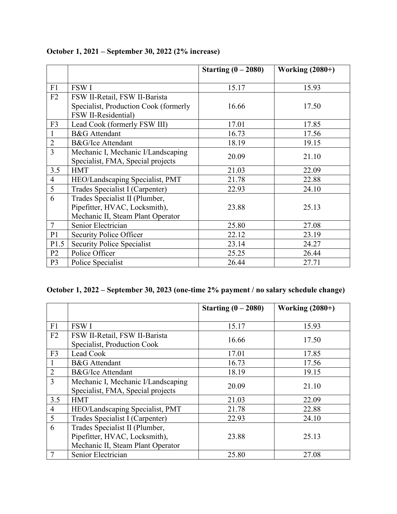|                |                                       | Starting $(0 - 2080)$ | <b>Working (2080+)</b> |
|----------------|---------------------------------------|-----------------------|------------------------|
| F1             | <b>FSWI</b>                           | 15.17                 | 15.93                  |
| F2             | FSW II-Retail, FSW II-Barista         |                       |                        |
|                | Specialist, Production Cook (formerly | 16.66                 | 17.50                  |
|                | FSW II-Residential)                   |                       |                        |
| F <sub>3</sub> | Lead Cook (formerly FSW III)          | 17.01                 | 17.85                  |
|                | <b>B&amp;G</b> Attendant              | 16.73                 | 17.56                  |
| $\overline{2}$ | B&G/Ice Attendant                     | 18.19                 | 19.15                  |
| $\overline{3}$ | Mechanic I, Mechanic I/Landscaping    | 20.09                 | 21.10                  |
|                | Specialist, FMA, Special projects     |                       |                        |
| 3.5            | <b>HMT</b>                            | 21.03                 | 22.09                  |
| $\overline{4}$ | HEO/Landscaping Specialist, PMT       | 21.78                 | 22.88                  |
| 5              | Trades Specialist I (Carpenter)       | 22.93                 | 24.10                  |
| 6              | Trades Specialist II (Plumber,        |                       |                        |
|                | Pipefitter, HVAC, Locksmith),         | 23.88                 | 25.13                  |
|                | Mechanic II, Steam Plant Operator     |                       |                        |
| $\overline{7}$ | Senior Electrician                    | 25.80                 | 27.08                  |
| P <sub>1</sub> | Security Police Officer               | 22.12                 | 23.19                  |
| P1.5           | <b>Security Police Specialist</b>     | 23.14                 | 24.27                  |
| P <sub>2</sub> | Police Officer                        | 25.25                 | 26.44                  |
| P <sub>3</sub> | Police Specialist                     | 26.44                 | 27.71                  |

# **October 1, 2021 – September 30, 2022 (2% increase)**

# **October 1, 2022 – September 30, 2023 (one-time 2% payment / no salary schedule change)**

|                |                                    | Starting $(0 - 2080)$ | <b>Working (2080+)</b> |
|----------------|------------------------------------|-----------------------|------------------------|
|                |                                    |                       |                        |
| F1             | <b>FSW I</b>                       | 15.17                 | 15.93                  |
| F <sub>2</sub> | FSW II-Retail, FSW II-Barista      | 16.66                 | 17.50                  |
|                | Specialist, Production Cook        |                       |                        |
| F <sub>3</sub> | Lead Cook                          | 17.01                 | 17.85                  |
|                | <b>B&amp;G</b> Attendant           | 16.73                 | 17.56                  |
| $\overline{2}$ | B&G/Ice Attendant                  | 18.19                 | 19.15                  |
| 3              | Mechanic I, Mechanic I/Landscaping | 20.09                 | 21.10                  |
|                | Specialist, FMA, Special projects  |                       |                        |
| 3.5            | <b>HMT</b>                         | 21.03                 | 22.09                  |
| $\overline{4}$ | HEO/Landscaping Specialist, PMT    | 21.78                 | 22.88                  |
| 5              | Trades Specialist I (Carpenter)    | 22.93                 | 24.10                  |
| 6              | Trades Specialist II (Plumber,     |                       |                        |
|                | Pipefitter, HVAC, Locksmith),      | 23.88                 | 25.13                  |
|                | Mechanic II, Steam Plant Operator  |                       |                        |
|                | Senior Electrician                 | 25.80                 | 27.08                  |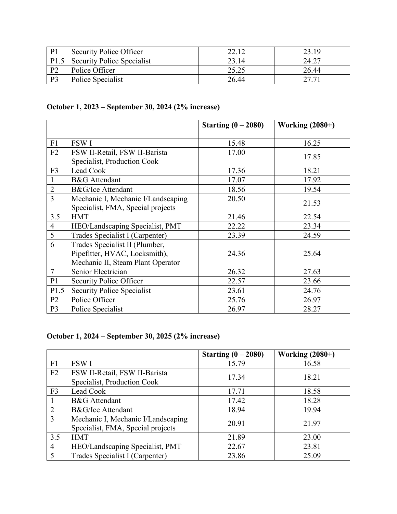| P <sub>1</sub> | Security Police Officer           | າາ 11 | 23.19 |
|----------------|-----------------------------------|-------|-------|
| P1.5           | <b>Security Police Specialist</b> | 23.14 | 24.27 |
| P <sub>2</sub> | Police Officer                    | 25.25 | 26.44 |
| P <sub>3</sub> | Police Specialist                 | 26.44 | 27.71 |

# **October 1, 2023 – September 30, 2024 (2% increase)**

|                |                                                                                                      | Starting $(0 - 2080)$ | Working $(2080+)$ |
|----------------|------------------------------------------------------------------------------------------------------|-----------------------|-------------------|
| F1             | <b>FSW I</b>                                                                                         | 15.48                 | 16.25             |
| F2             | FSW II-Retail, FSW II-Barista<br>Specialist, Production Cook                                         | 17.00                 | 17.85             |
| F <sub>3</sub> | Lead Cook                                                                                            | 17.36                 | 18.21             |
|                | <b>B&amp;G</b> Attendant                                                                             | 17.07                 | 17.92             |
| $\overline{2}$ | <b>B&amp;G/Ice Attendant</b>                                                                         | 18.56                 | 19.54             |
| $\overline{3}$ | Mechanic I, Mechanic I/Landscaping<br>Specialist, FMA, Special projects                              | 20.50                 | 21.53             |
| 3.5            | <b>HMT</b>                                                                                           | 21.46                 | 22.54             |
| $\overline{4}$ | HEO/Landscaping Specialist, PMT                                                                      | 22.22                 | 23.34             |
| 5              | Trades Specialist I (Carpenter)                                                                      | 23.39                 | 24.59             |
| 6              | Trades Specialist II (Plumber,<br>Pipefitter, HVAC, Locksmith),<br>Mechanic II, Steam Plant Operator | 24.36                 | 25.64             |
| 7              | Senior Electrician                                                                                   | 26.32                 | 27.63             |
| P <sub>1</sub> | <b>Security Police Officer</b>                                                                       | 22.57                 | 23.66             |
| P1.5           | <b>Security Police Specialist</b>                                                                    | 23.61                 | 24.76             |
| P <sub>2</sub> | Police Officer                                                                                       | 25.76                 | 26.97             |
| P <sub>3</sub> | Police Specialist                                                                                    | 26.97                 | 28.27             |

# **October 1, 2024 – September 30, 2025 (2% increase)**

|                |                                    | Starting $(0 - 2080)$ | <b>Working (2080+)</b> |
|----------------|------------------------------------|-----------------------|------------------------|
| F1             | <b>FSW I</b>                       | 15.79                 | 16.58                  |
| F2             | FSW II-Retail, FSW II-Barista      | 17.34                 | 18.21                  |
|                | Specialist, Production Cook        |                       |                        |
| F <sub>3</sub> | Lead Cook                          | 17.71                 | 18.58                  |
|                | <b>B&amp;G</b> Attendant           | 17.42                 | 18.28                  |
| $\overline{2}$ | B&G/Ice Attendant                  | 18.94                 | 19.94                  |
| 3              | Mechanic I, Mechanic I/Landscaping | 20.91                 | 21.97                  |
|                | Specialist, FMA, Special projects  |                       |                        |
| 3.5            | <b>HMT</b>                         | 21.89                 | 23.00                  |
| $\overline{4}$ | HEO/Landscaping Specialist, PMT    | 22.67                 | 23.81                  |
| 5              | Trades Specialist I (Carpenter)    | 23.86                 | 25.09                  |